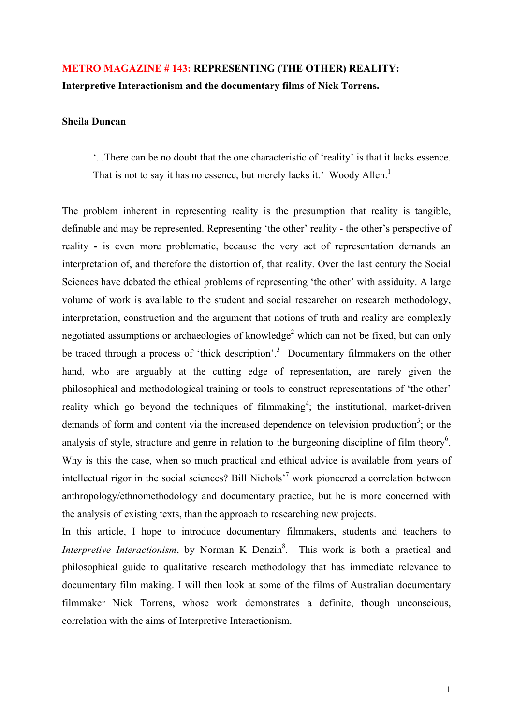# **METRO MAGAZINE # 143: REPRESENTING (THE OTHER) REALITY: Interpretive Interactionism and the documentary films of Nick Torrens.**

## **Sheila Duncan**

'*...*There can be no doubt that the one characteristic of 'reality' is that it lacks essence. That is not to say it has no essence, but merely lacks it.' Woody Allen.<sup>1</sup>

The problem inherent in representing reality is the presumption that reality is tangible, definable and may be represented. Representing 'the other' reality - the other's perspective of reality **-** is even more problematic, because the very act of representation demands an interpretation of, and therefore the distortion of, that reality. Over the last century the Social Sciences have debated the ethical problems of representing 'the other' with assiduity. A large volume of work is available to the student and social researcher on research methodology, interpretation, construction and the argument that notions of truth and reality are complexly negotiated assumptions or archaeologies of knowledge<sup>2</sup> which can not be fixed, but can only be traced through a process of 'thick description'.<sup>3</sup> Documentary filmmakers on the other hand, who are arguably at the cutting edge of representation, are rarely given the philosophical and methodological training or tools to construct representations of 'the other' reality which go beyond the techniques of filmmaking<sup>4</sup>; the institutional, market-driven demands of form and content via the increased dependence on television production<sup>5</sup>; or the analysis of style, structure and genre in relation to the burgeoning discipline of film theory<sup>6</sup>. Why is this the case, when so much practical and ethical advice is available from years of intellectual rigor in the social sciences? Bill Nichols<sup>,7</sup> work pioneered a correlation between anthropology/ethnomethodology and documentary practice, but he is more concerned with the analysis of existing texts, than the approach to researching new projects.

In this article, I hope to introduce documentary filmmakers, students and teachers to *Interpretive Interactionism*, by Norman K Denzin<sup>8</sup>. This work is both a practical and philosophical guide to qualitative research methodology that has immediate relevance to documentary film making. I will then look at some of the films of Australian documentary filmmaker Nick Torrens, whose work demonstrates a definite, though unconscious, correlation with the aims of Interpretive Interactionism.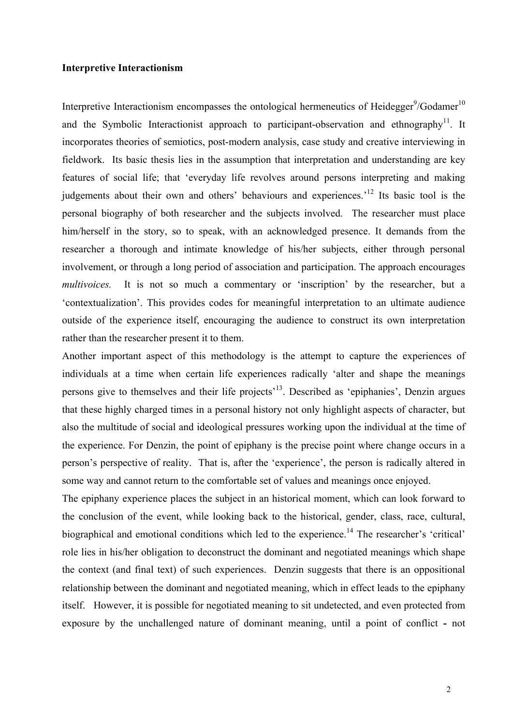#### **Interpretive Interactionism**

Interpretive Interactionism encompasses the ontological hermeneutics of Heidegger<sup>9</sup>/Godamer<sup>10</sup> and the Symbolic Interactionist approach to participant-observation and ethnography<sup>11</sup>. It incorporates theories of semiotics, post-modern analysis, case study and creative interviewing in fieldwork. Its basic thesis lies in the assumption that interpretation and understanding are key features of social life; that 'everyday life revolves around persons interpreting and making judgements about their own and others' behaviours and experiences.<sup>12</sup> Its basic tool is the personal biography of both researcher and the subjects involved. The researcher must place him/herself in the story, so to speak, with an acknowledged presence. It demands from the researcher a thorough and intimate knowledge of his/her subjects, either through personal involvement, or through a long period of association and participation. The approach encourages *multivoices.* It is not so much a commentary or 'inscription' by the researcher, but a 'contextualization'. This provides codes for meaningful interpretation to an ultimate audience outside of the experience itself, encouraging the audience to construct its own interpretation rather than the researcher present it to them.

Another important aspect of this methodology is the attempt to capture the experiences of individuals at a time when certain life experiences radically 'alter and shape the meanings persons give to themselves and their life projects'13. Described as 'epiphanies', Denzin argues that these highly charged times in a personal history not only highlight aspects of character, but also the multitude of social and ideological pressures working upon the individual at the time of the experience. For Denzin, the point of epiphany is the precise point where change occurs in a person's perspective of reality. That is, after the 'experience', the person is radically altered in some way and cannot return to the comfortable set of values and meanings once enjoyed.

The epiphany experience places the subject in an historical moment, which can look forward to the conclusion of the event, while looking back to the historical, gender, class, race, cultural, biographical and emotional conditions which led to the experience.<sup>14</sup> The researcher's 'critical' role lies in his/her obligation to deconstruct the dominant and negotiated meanings which shape the context (and final text) of such experiences. Denzin suggests that there is an oppositional relationship between the dominant and negotiated meaning, which in effect leads to the epiphany itself. However, it is possible for negotiated meaning to sit undetected, and even protected from exposure by the unchallenged nature of dominant meaning, until a point of conflict **-** not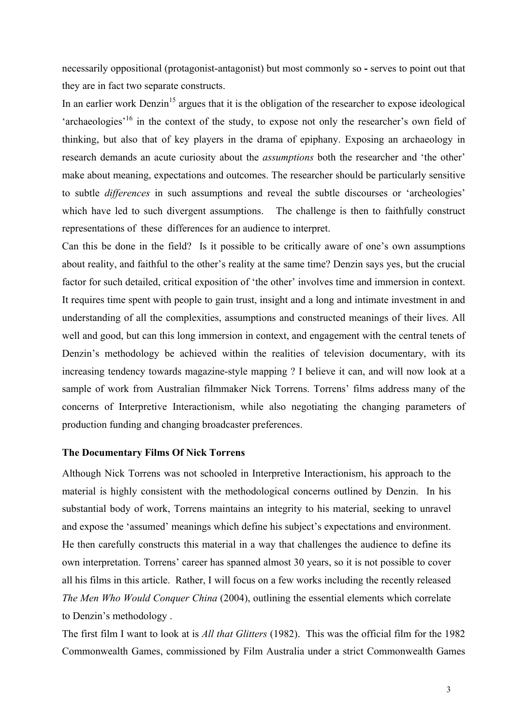necessarily oppositional (protagonist-antagonist) but most commonly so **-** serves to point out that they are in fact two separate constructs.

In an earlier work Denzin<sup>15</sup> argues that it is the obligation of the researcher to expose ideological 'archaeologies<sup>'16</sup> in the context of the study, to expose not only the researcher's own field of thinking, but also that of key players in the drama of epiphany. Exposing an archaeology in research demands an acute curiosity about the *assumptions* both the researcher and 'the other' make about meaning, expectations and outcomes. The researcher should be particularly sensitive to subtle *differences* in such assumptions and reveal the subtle discourses or 'archeologies' which have led to such divergent assumptions. The challenge is then to faithfully construct representations of these differences for an audience to interpret.

Can this be done in the field? Is it possible to be critically aware of one's own assumptions about reality, and faithful to the other's reality at the same time? Denzin says yes, but the crucial factor for such detailed, critical exposition of 'the other' involves time and immersion in context. It requires time spent with people to gain trust, insight and a long and intimate investment in and understanding of all the complexities, assumptions and constructed meanings of their lives. All well and good, but can this long immersion in context, and engagement with the central tenets of Denzin's methodology be achieved within the realities of television documentary, with its increasing tendency towards magazine-style mapping ? I believe it can, and will now look at a sample of work from Australian filmmaker Nick Torrens. Torrens' films address many of the concerns of Interpretive Interactionism, while also negotiating the changing parameters of production funding and changing broadcaster preferences.

### **The Documentary Films Of Nick Torrens**

Although Nick Torrens was not schooled in Interpretive Interactionism, his approach to the material is highly consistent with the methodological concerns outlined by Denzin. In his substantial body of work, Torrens maintains an integrity to his material, seeking to unravel and expose the 'assumed' meanings which define his subject's expectations and environment. He then carefully constructs this material in a way that challenges the audience to define its own interpretation. Torrens' career has spanned almost 30 years, so it is not possible to cover all his films in this article. Rather, I will focus on a few works including the recently released *The Men Who Would Conquer China* (2004), outlining the essential elements which correlate to Denzin's methodology .

The first film I want to look at is *All that Glitters* (1982). This was the official film for the 1982 Commonwealth Games, commissioned by Film Australia under a strict Commonwealth Games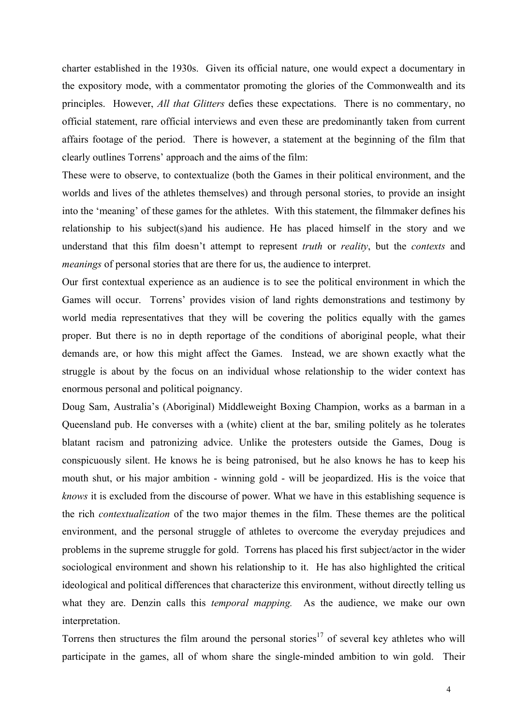charter established in the 1930s. Given its official nature, one would expect a documentary in the expository mode, with a commentator promoting the glories of the Commonwealth and its principles. However, *All that Glitters* defies these expectations. There is no commentary, no official statement, rare official interviews and even these are predominantly taken from current affairs footage of the period. There is however, a statement at the beginning of the film that clearly outlines Torrens' approach and the aims of the film:

These were to observe, to contextualize (both the Games in their political environment, and the worlds and lives of the athletes themselves) and through personal stories, to provide an insight into the 'meaning' of these games for the athletes. With this statement, the filmmaker defines his relationship to his subject(s)and his audience. He has placed himself in the story and we understand that this film doesn't attempt to represent *truth* or *reality*, but the *contexts* and *meanings* of personal stories that are there for us, the audience to interpret.

Our first contextual experience as an audience is to see the political environment in which the Games will occur. Torrens' provides vision of land rights demonstrations and testimony by world media representatives that they will be covering the politics equally with the games proper. But there is no in depth reportage of the conditions of aboriginal people, what their demands are, or how this might affect the Games. Instead, we are shown exactly what the struggle is about by the focus on an individual whose relationship to the wider context has enormous personal and political poignancy.

Doug Sam, Australia's (Aboriginal) Middleweight Boxing Champion, works as a barman in a Queensland pub. He converses with a (white) client at the bar, smiling politely as he tolerates blatant racism and patronizing advice. Unlike the protesters outside the Games, Doug is conspicuously silent. He knows he is being patronised, but he also knows he has to keep his mouth shut, or his major ambition - winning gold - will be jeopardized. His is the voice that *knows* it is excluded from the discourse of power. What we have in this establishing sequence is the rich *contextualization* of the two major themes in the film. These themes are the political environment, and the personal struggle of athletes to overcome the everyday prejudices and problems in the supreme struggle for gold. Torrens has placed his first subject/actor in the wider sociological environment and shown his relationship to it. He has also highlighted the critical ideological and political differences that characterize this environment, without directly telling us what they are. Denzin calls this *temporal mapping.* As the audience, we make our own interpretation.

Torrens then structures the film around the personal stories<sup>17</sup> of several key athletes who will participate in the games, all of whom share the single-minded ambition to win gold. Their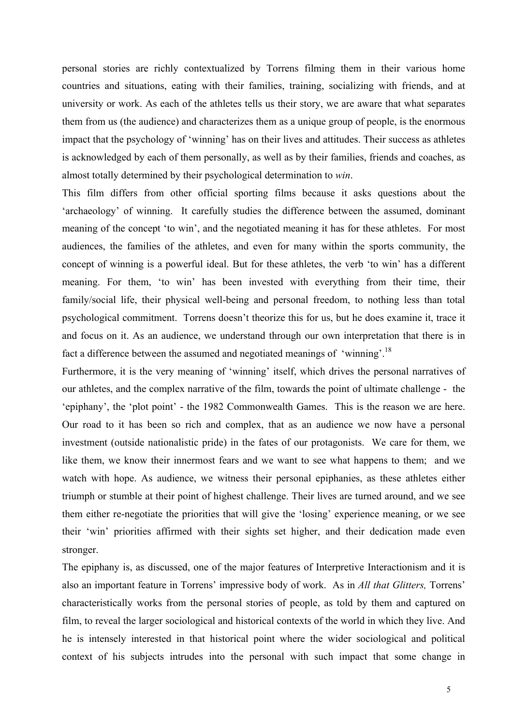personal stories are richly contextualized by Torrens filming them in their various home countries and situations, eating with their families, training, socializing with friends, and at university or work. As each of the athletes tells us their story, we are aware that what separates them from us (the audience) and characterizes them as a unique group of people, is the enormous impact that the psychology of 'winning' has on their lives and attitudes. Their success as athletes is acknowledged by each of them personally, as well as by their families, friends and coaches, as almost totally determined by their psychological determination to *win*.

This film differs from other official sporting films because it asks questions about the 'archaeology' of winning. It carefully studies the difference between the assumed, dominant meaning of the concept 'to win', and the negotiated meaning it has for these athletes. For most audiences, the families of the athletes, and even for many within the sports community, the concept of winning is a powerful ideal. But for these athletes, the verb 'to win' has a different meaning. For them, 'to win' has been invested with everything from their time, their family/social life, their physical well-being and personal freedom, to nothing less than total psychological commitment. Torrens doesn't theorize this for us, but he does examine it, trace it and focus on it. As an audience, we understand through our own interpretation that there is in fact a difference between the assumed and negotiated meanings of 'winning'.<sup>18</sup>

Furthermore, it is the very meaning of 'winning' itself, which drives the personal narratives of our athletes, and the complex narrative of the film, towards the point of ultimate challenge - the 'epiphany', the 'plot point' - the 1982 Commonwealth Games. This is the reason we are here. Our road to it has been so rich and complex, that as an audience we now have a personal investment (outside nationalistic pride) in the fates of our protagonists. We care for them, we like them, we know their innermost fears and we want to see what happens to them; and we watch with hope. As audience, we witness their personal epiphanies, as these athletes either triumph or stumble at their point of highest challenge. Their lives are turned around, and we see them either re-negotiate the priorities that will give the 'losing' experience meaning, or we see their 'win' priorities affirmed with their sights set higher, and their dedication made even stronger.

The epiphany is, as discussed, one of the major features of Interpretive Interactionism and it is also an important feature in Torrens' impressive body of work. As in *All that Glitters,* Torrens' characteristically works from the personal stories of people, as told by them and captured on film, to reveal the larger sociological and historical contexts of the world in which they live. And he is intensely interested in that historical point where the wider sociological and political context of his subjects intrudes into the personal with such impact that some change in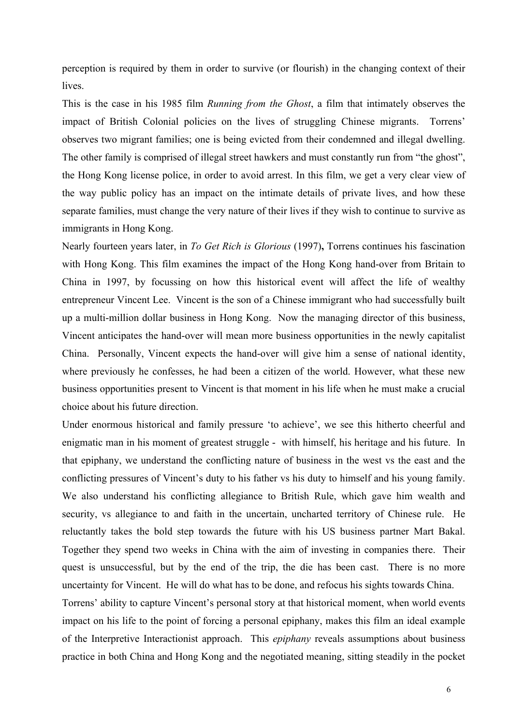perception is required by them in order to survive (or flourish) in the changing context of their lives.

This is the case in his 1985 film *Running from the Ghost*, a film that intimately observes the impact of British Colonial policies on the lives of struggling Chinese migrants. Torrens' observes two migrant families; one is being evicted from their condemned and illegal dwelling. The other family is comprised of illegal street hawkers and must constantly run from "the ghost", the Hong Kong license police, in order to avoid arrest. In this film, we get a very clear view of the way public policy has an impact on the intimate details of private lives, and how these separate families, must change the very nature of their lives if they wish to continue to survive as immigrants in Hong Kong.

Nearly fourteen years later, in *To Get Rich is Glorious* (1997)**,** Torrens continues his fascination with Hong Kong. This film examines the impact of the Hong Kong hand-over from Britain to China in 1997, by focussing on how this historical event will affect the life of wealthy entrepreneur Vincent Lee. Vincent is the son of a Chinese immigrant who had successfully built up a multi-million dollar business in Hong Kong. Now the managing director of this business, Vincent anticipates the hand-over will mean more business opportunities in the newly capitalist China. Personally, Vincent expects the hand-over will give him a sense of national identity, where previously he confesses, he had been a citizen of the world. However, what these new business opportunities present to Vincent is that moment in his life when he must make a crucial choice about his future direction.

Under enormous historical and family pressure 'to achieve', we see this hitherto cheerful and enigmatic man in his moment of greatest struggle - with himself, his heritage and his future. In that epiphany, we understand the conflicting nature of business in the west vs the east and the conflicting pressures of Vincent's duty to his father vs his duty to himself and his young family. We also understand his conflicting allegiance to British Rule, which gave him wealth and security, vs allegiance to and faith in the uncertain, uncharted territory of Chinese rule. He reluctantly takes the bold step towards the future with his US business partner Mart Bakal. Together they spend two weeks in China with the aim of investing in companies there. Their quest is unsuccessful, but by the end of the trip, the die has been cast. There is no more uncertainty for Vincent. He will do what has to be done, and refocus his sights towards China. Torrens' ability to capture Vincent's personal story at that historical moment, when world events impact on his life to the point of forcing a personal epiphany, makes this film an ideal example

of the Interpretive Interactionist approach. This *epiphany* reveals assumptions about business practice in both China and Hong Kong and the negotiated meaning, sitting steadily in the pocket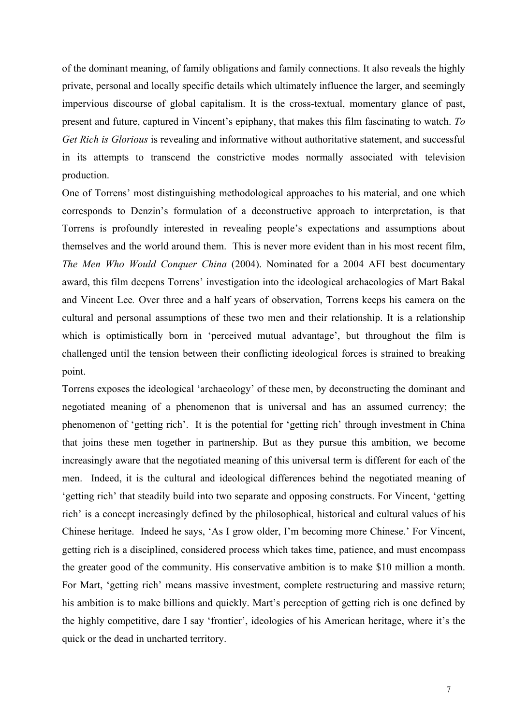of the dominant meaning, of family obligations and family connections. It also reveals the highly private, personal and locally specific details which ultimately influence the larger, and seemingly impervious discourse of global capitalism. It is the cross-textual, momentary glance of past, present and future, captured in Vincent's epiphany, that makes this film fascinating to watch. *To Get Rich is Glorious* is revealing and informative without authoritative statement, and successful in its attempts to transcend the constrictive modes normally associated with television production.

One of Torrens' most distinguishing methodological approaches to his material, and one which corresponds to Denzin's formulation of a deconstructive approach to interpretation, is that Torrens is profoundly interested in revealing people's expectations and assumptions about themselves and the world around them. This is never more evident than in his most recent film, *The Men Who Would Conquer China* (2004). Nominated for a 2004 AFI best documentary award, this film deepens Torrens' investigation into the ideological archaeologies of Mart Bakal and Vincent Lee*.* Over three and a half years of observation, Torrens keeps his camera on the cultural and personal assumptions of these two men and their relationship. It is a relationship which is optimistically born in 'perceived mutual advantage', but throughout the film is challenged until the tension between their conflicting ideological forces is strained to breaking point.

Torrens exposes the ideological 'archaeology' of these men, by deconstructing the dominant and negotiated meaning of a phenomenon that is universal and has an assumed currency; the phenomenon of 'getting rich'. It is the potential for 'getting rich' through investment in China that joins these men together in partnership. But as they pursue this ambition, we become increasingly aware that the negotiated meaning of this universal term is different for each of the men. Indeed, it is the cultural and ideological differences behind the negotiated meaning of 'getting rich' that steadily build into two separate and opposing constructs. For Vincent, 'getting rich' is a concept increasingly defined by the philosophical, historical and cultural values of his Chinese heritage. Indeed he says, 'As I grow older, I'm becoming more Chinese.' For Vincent, getting rich is a disciplined, considered process which takes time, patience, and must encompass the greater good of the community. His conservative ambition is to make \$10 million a month. For Mart, 'getting rich' means massive investment, complete restructuring and massive return; his ambition is to make billions and quickly. Mart's perception of getting rich is one defined by the highly competitive, dare I say 'frontier', ideologies of his American heritage, where it's the quick or the dead in uncharted territory.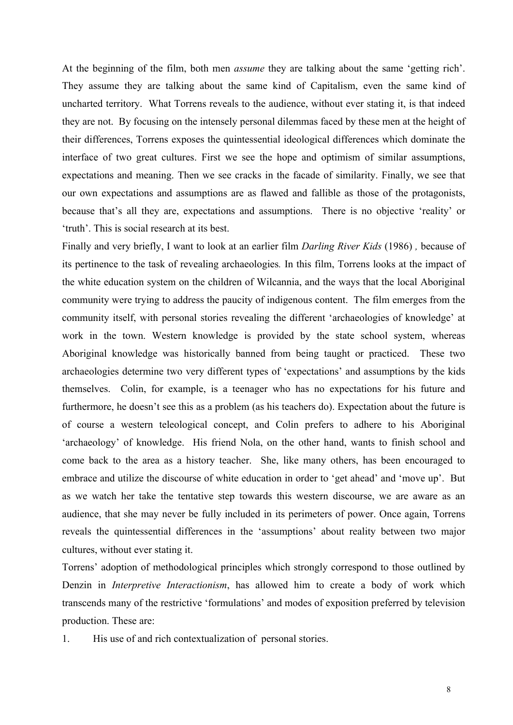At the beginning of the film, both men *assume* they are talking about the same 'getting rich'. They assume they are talking about the same kind of Capitalism, even the same kind of uncharted territory. What Torrens reveals to the audience, without ever stating it, is that indeed they are not. By focusing on the intensely personal dilemmas faced by these men at the height of their differences, Torrens exposes the quintessential ideological differences which dominate the interface of two great cultures. First we see the hope and optimism of similar assumptions, expectations and meaning. Then we see cracks in the facade of similarity. Finally, we see that our own expectations and assumptions are as flawed and fallible as those of the protagonists, because that's all they are, expectations and assumptions. There is no objective 'reality' or 'truth'. This is social research at its best.

Finally and very briefly, I want to look at an earlier film *Darling River Kids* (1986) *,* because of its pertinence to the task of revealing archaeologies*.* In this film, Torrens looks at the impact of the white education system on the children of Wilcannia, and the ways that the local Aboriginal community were trying to address the paucity of indigenous content. The film emerges from the community itself, with personal stories revealing the different 'archaeologies of knowledge' at work in the town. Western knowledge is provided by the state school system, whereas Aboriginal knowledge was historically banned from being taught or practiced. These two archaeologies determine two very different types of 'expectations' and assumptions by the kids themselves. Colin, for example, is a teenager who has no expectations for his future and furthermore, he doesn't see this as a problem (as his teachers do). Expectation about the future is of course a western teleological concept, and Colin prefers to adhere to his Aboriginal 'archaeology' of knowledge. His friend Nola, on the other hand, wants to finish school and come back to the area as a history teacher. She, like many others, has been encouraged to embrace and utilize the discourse of white education in order to 'get ahead' and 'move up'. But as we watch her take the tentative step towards this western discourse, we are aware as an audience, that she may never be fully included in its perimeters of power. Once again, Torrens reveals the quintessential differences in the 'assumptions' about reality between two major cultures, without ever stating it.

Torrens' adoption of methodological principles which strongly correspond to those outlined by Denzin in *Interpretive Interactionism*, has allowed him to create a body of work which transcends many of the restrictive 'formulations' and modes of exposition preferred by television production. These are:

1. His use of and rich contextualization of personal stories.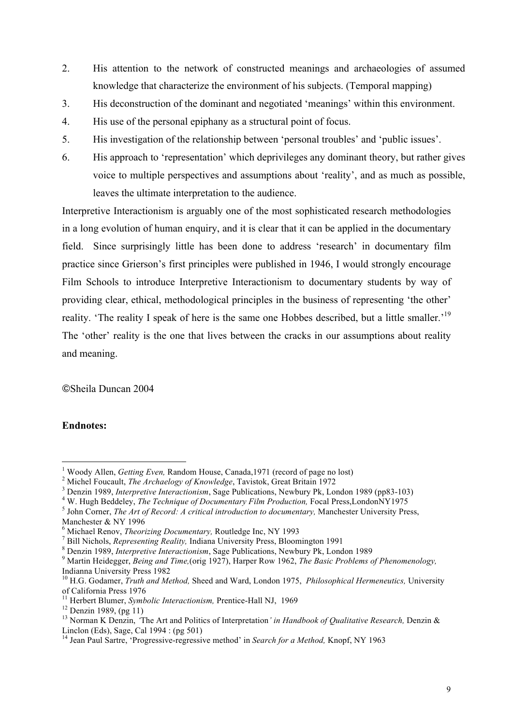- 2. His attention to the network of constructed meanings and archaeologies of assumed knowledge that characterize the environment of his subjects. (Temporal mapping)
- 3. His deconstruction of the dominant and negotiated 'meanings' within this environment.
- 4. His use of the personal epiphany as a structural point of focus.
- 5. His investigation of the relationship between 'personal troubles' and 'public issues'.
- 6. His approach to 'representation' which deprivileges any dominant theory, but rather gives voice to multiple perspectives and assumptions about 'reality', and as much as possible, leaves the ultimate interpretation to the audience.

Interpretive Interactionism is arguably one of the most sophisticated research methodologies in a long evolution of human enquiry, and it is clear that it can be applied in the documentary field. Since surprisingly little has been done to address 'research' in documentary film practice since Grierson's first principles were published in 1946, I would strongly encourage Film Schools to introduce Interpretive Interactionism to documentary students by way of providing clear, ethical, methodological principles in the business of representing 'the other' reality. 'The reality I speak of here is the same one Hobbes described, but a little smaller.'<sup>19</sup> The 'other' reality is the one that lives between the cracks in our assumptions about reality and meaning.

©Sheila Duncan 2004

## **Endnotes:**

<sup>4</sup> W. Hugh Beddeley, *The Technique of Documentary Film Production*, Focal Press, LondonNY1975

 $\frac{1}{1}$ <sup>1</sup> Woody Allen, *Getting Even*, Random House, Canada, 1971 (record of page no lost)

<sup>&</sup>lt;sup>2</sup> Michel Foucault, *The Archaelogy of Knowledge*, Tavistok, Great Britain 1972

Denzin 1989, *Interpretive Interactionism*, Sage Publications, Newbury Pk, London 1989 (pp83-103) <sup>4</sup>

<sup>&</sup>lt;sup>5</sup> John Corner, *The Art of Record: A critical introduction to documentary*, Manchester University Press, Manchester & NY 1996

<sup>&</sup>lt;sup>6</sup> Michael Renov, *Theorizing Documentary*, Routledge Inc, NY 1993<br><sup>7</sup> Pill Nichals, *Representing Baslin*, Indiana University Prace, Plaan

<sup>&</sup>lt;sup>7</sup> Bill Nichols, *Representing Reality*, Indiana University Press, Bloomington 1991

Denzin 1989, *Interpretive Interactionism*, Sage Publications, Newbury Pk, London 1989 <sup>9</sup>

Martin Heidegger, *Being and Time,*(orig 1927), Harper Row 1962, *The Basic Problems of Phenomenology,*  Indianna University Press 1982

<sup>10</sup> H.G. Godamer, *Truth and Method,* Sheed and Ward, London 1975, *Philosophical Hermeneutics,* University of California Press 1976

<sup>&</sup>lt;sup>11</sup> Herbert Blumer, *Symbolic Interactionism*, Prentice-Hall NJ, 1969<sup>12</sup> Denzin 1989, (pg 11)

<sup>13</sup> Norman K Denzin, *'*The Art and Politics of Interpretation*' in Handbook of Qualitative Research,* Denzin & Linclon (Eds), Sage, Cal 1994 : (pg 501)

<sup>14</sup> Jean Paul Sartre, 'Progressive-regressive method' in *Search for a Method,* Knopf, NY 1963